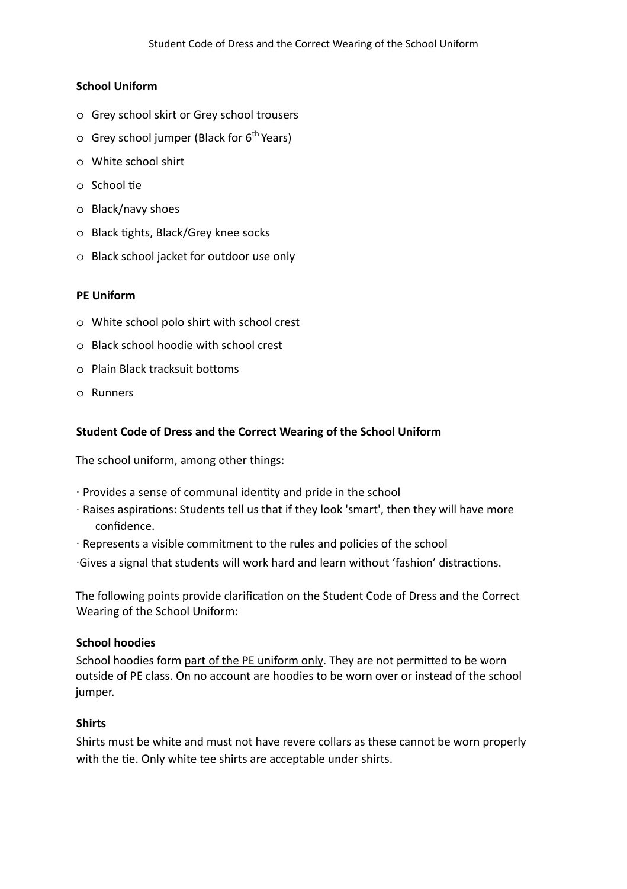#### **School Uniform**

- o Grey school skirt or Grey school trousers
- $\circ$  Grey school jumper (Black for 6<sup>th</sup> Years)
- o White school shirt
- $\circ$  School tie
- o Black/navy shoes
- o Black tights, Black/Grey knee socks
- o Black school jacket for outdoor use only

#### **PE Uniform**

- o White school polo shirt with school crest
- o Black school hoodie with school crest
- $\circ$  Plain Black tracksuit bottoms
- o Runners

## **Student Code of Dress and the Correct Wearing of the School Uniform**

The school uniform, among other things:

- ∙ Provides a sense of communal identy and pride in the school
- ∙ Raises aspirations: Students tell us that if they look 'smart', then they will have more confidence.
- ∙ Represents a visible commitment to the rules and policies of the school
- ∙Gives a signal that students will work hard and learn without 'fashion' distractions.

The following points provide clarification on the Student Code of Dress and the Correct Wearing of the School Uniform:

#### **School hoodies**

School hoodies form part of the PE uniform only. They are not permitted to be worn outside of PE class. On no account are hoodies to be worn over or instead of the school jumper.

#### **Shirts**

Shirts must be white and must not have revere collars as these cannot be worn properly with the tie. Only white tee shirts are acceptable under shirts.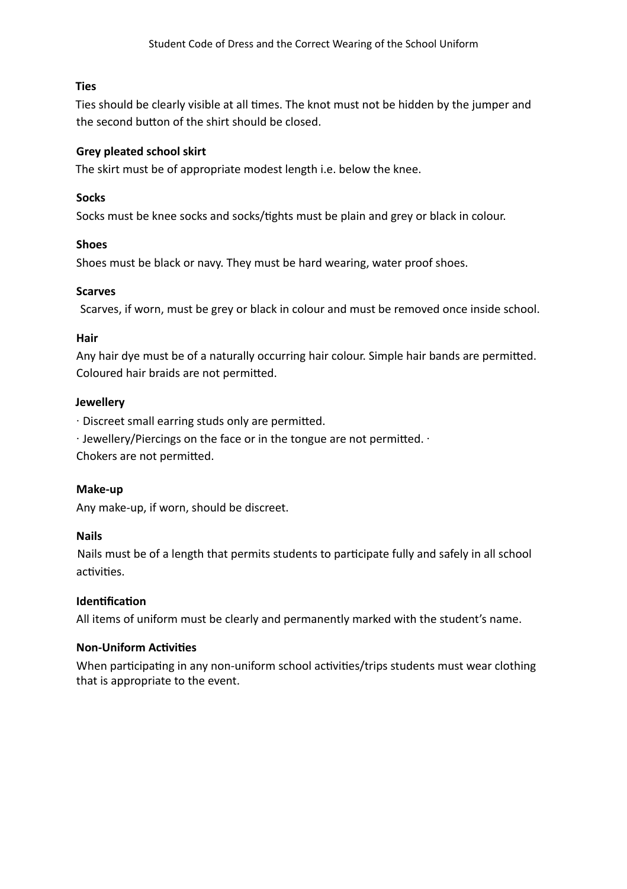## **Ties**

Ties should be clearly visible at all times. The knot must not be hidden by the jumper and the second button of the shirt should be closed.

# **Grey pleated school skirt**

The skirt must be of appropriate modest length i.e. below the knee.

# **Socks**

Socks must be knee socks and socks/tights must be plain and grey or black in colour.

## **Shoes**

Shoes must be black or navy. They must be hard wearing, water proof shoes.

## **Scarves**

Scarves, if worn, must be grey or black in colour and must be removed once inside school.

## **Hair**

Any hair dye must be of a naturally occurring hair colour. Simple hair bands are permitted. Coloured hair braids are not permitted.

#### **Jewellery**

• Discreet small earring studs only are permitted.

∙ Jewellery/Piercings on the face or in the tongue are not permitted.  $\cdot$ 

Chokers are not permitted.

## **Make-up**

Any make-up, if worn, should be discreet.

## **Nails**

Nails must be of a length that permits students to participate fully and safely in all school activities.

## **Identification**

All items of uniform must be clearly and permanently marked with the student's name.

## **Non-Uniform Activities**

When participating in any non-uniform school activities/trips students must wear clothing that is appropriate to the event.